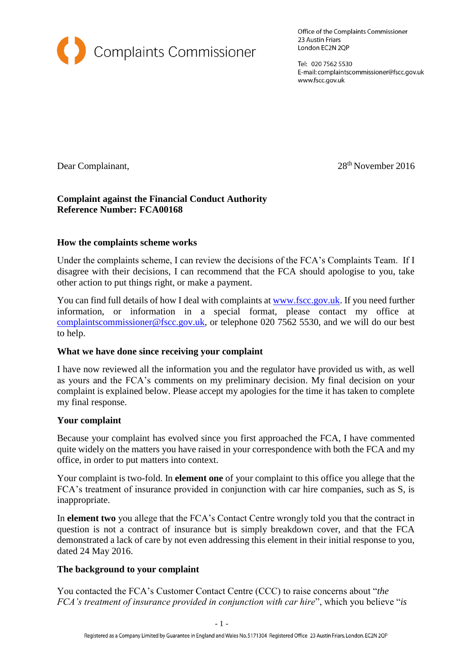

Office of the Complaints Commissioner 23 Austin Friars London EC2N 2QP

Tel: 020 7562 5530 E-mail: complaintscommissioner@fscc.gov.uk www.fscc.gov.uk

Dear Complainant, 28<sup>th</sup> November 2016

## **Complaint against the Financial Conduct Authority Reference Number: FCA00168**

### **How the complaints scheme works**

Under the complaints scheme, I can review the decisions of the FCA's Complaints Team. If I disagree with their decisions, I can recommend that the FCA should apologise to you, take other action to put things right, or make a payment.

You can find full details of how I deal with complaints at [www.fscc.gov.uk.](http://www.fscc.gov.uk/) If you need further information, or information in a special format, please contact my office at [complaintscommissioner@fscc.gov.uk,](mailto:complaintscommissioner@fscc.gov.uk) or telephone 020 7562 5530, and we will do our best to help.

### **What we have done since receiving your complaint**

I have now reviewed all the information you and the regulator have provided us with, as well as yours and the FCA's comments on my preliminary decision. My final decision on your complaint is explained below. Please accept my apologies for the time it has taken to complete my final response.

### **Your complaint**

Because your complaint has evolved since you first approached the FCA, I have commented quite widely on the matters you have raised in your correspondence with both the FCA and my office, in order to put matters into context.

Your complaint is two-fold. In **element one** of your complaint to this office you allege that the FCA's treatment of insurance provided in conjunction with car hire companies, such as S, is inappropriate.

In **element two** you allege that the FCA's Contact Centre wrongly told you that the contract in question is not a contract of insurance but is simply breakdown cover, and that the FCA demonstrated a lack of care by not even addressing this element in their initial response to you, dated 24 May 2016.

### **The background to your complaint**

You contacted the FCA's Customer Contact Centre (CCC) to raise concerns about "*the FCA's treatment of insurance provided in conjunction with car hire*", which you believe "*is*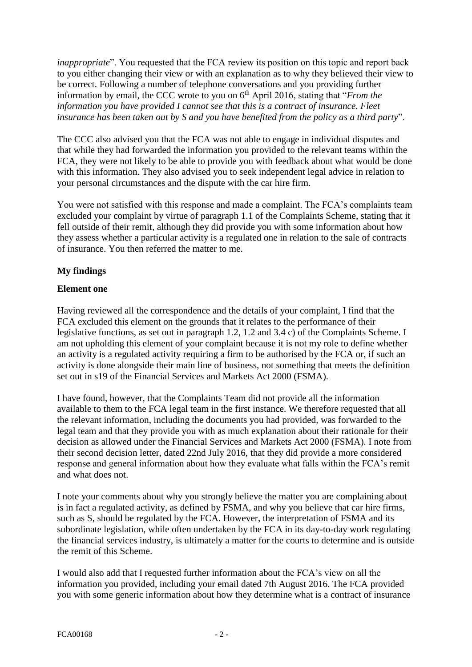*inappropriate*". You requested that the FCA review its position on this topic and report back to you either changing their view or with an explanation as to why they believed their view to be correct. Following a number of telephone conversations and you providing further information by email, the CCC wrote to you on 6<sup>th</sup> April 2016, stating that "*From the information you have provided I cannot see that this is a contract of insurance. Fleet insurance has been taken out by S and you have benefited from the policy as a third party*".

The CCC also advised you that the FCA was not able to engage in individual disputes and that while they had forwarded the information you provided to the relevant teams within the FCA, they were not likely to be able to provide you with feedback about what would be done with this information. They also advised you to seek independent legal advice in relation to your personal circumstances and the dispute with the car hire firm.

You were not satisfied with this response and made a complaint. The FCA's complaints team excluded your complaint by virtue of paragraph 1.1 of the Complaints Scheme, stating that it fell outside of their remit, although they did provide you with some information about how they assess whether a particular activity is a regulated one in relation to the sale of contracts of insurance. You then referred the matter to me.

# **My findings**

# **Element one**

Having reviewed all the correspondence and the details of your complaint, I find that the FCA excluded this element on the grounds that it relates to the performance of their legislative functions, as set out in paragraph 1.2, 1.2 and 3.4 c) of the Complaints Scheme. I am not upholding this element of your complaint because it is not my role to define whether an activity is a regulated activity requiring a firm to be authorised by the FCA or, if such an activity is done alongside their main line of business, not something that meets the definition set out in s19 of the Financial Services and Markets Act 2000 (FSMA).

I have found, however, that the Complaints Team did not provide all the information available to them to the FCA legal team in the first instance. We therefore requested that all the relevant information, including the documents you had provided, was forwarded to the legal team and that they provide you with as much explanation about their rationale for their decision as allowed under the Financial Services and Markets Act 2000 (FSMA). I note from their second decision letter, dated 22nd July 2016, that they did provide a more considered response and general information about how they evaluate what falls within the FCA's remit and what does not.

I note your comments about why you strongly believe the matter you are complaining about is in fact a regulated activity, as defined by FSMA, and why you believe that car hire firms, such as S, should be regulated by the FCA. However, the interpretation of FSMA and its subordinate legislation, while often undertaken by the FCA in its day-to-day work regulating the financial services industry, is ultimately a matter for the courts to determine and is outside the remit of this Scheme.

I would also add that I requested further information about the FCA's view on all the information you provided, including your email dated 7th August 2016. The FCA provided you with some generic information about how they determine what is a contract of insurance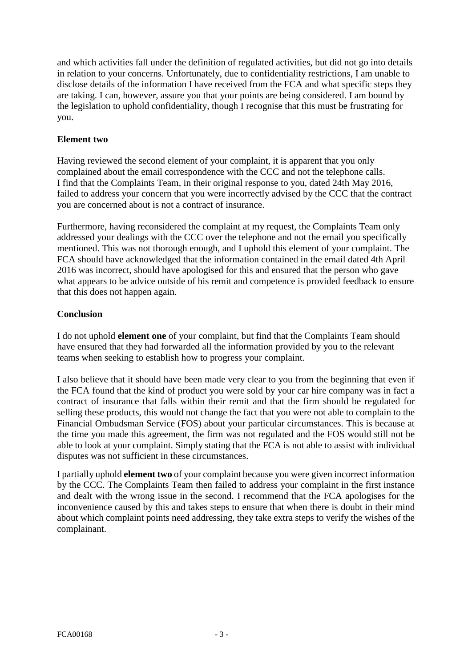and which activities fall under the definition of regulated activities, but did not go into details in relation to your concerns. Unfortunately, due to confidentiality restrictions, I am unable to disclose details of the information I have received from the FCA and what specific steps they are taking. I can, however, assure you that your points are being considered. I am bound by the legislation to uphold confidentiality, though I recognise that this must be frustrating for you.

## **Element two**

Having reviewed the second element of your complaint, it is apparent that you only complained about the email correspondence with the CCC and not the telephone calls. I find that the Complaints Team, in their original response to you, dated 24th May 2016, failed to address your concern that you were incorrectly advised by the CCC that the contract you are concerned about is not a contract of insurance.

Furthermore, having reconsidered the complaint at my request, the Complaints Team only addressed your dealings with the CCC over the telephone and not the email you specifically mentioned. This was not thorough enough, and I uphold this element of your complaint. The FCA should have acknowledged that the information contained in the email dated 4th April 2016 was incorrect, should have apologised for this and ensured that the person who gave what appears to be advice outside of his remit and competence is provided feedback to ensure that this does not happen again.

## **Conclusion**

I do not uphold **element one** of your complaint, but find that the Complaints Team should have ensured that they had forwarded all the information provided by you to the relevant teams when seeking to establish how to progress your complaint.

I also believe that it should have been made very clear to you from the beginning that even if the FCA found that the kind of product you were sold by your car hire company was in fact a contract of insurance that falls within their remit and that the firm should be regulated for selling these products, this would not change the fact that you were not able to complain to the Financial Ombudsman Service (FOS) about your particular circumstances. This is because at the time you made this agreement, the firm was not regulated and the FOS would still not be able to look at your complaint. Simply stating that the FCA is not able to assist with individual disputes was not sufficient in these circumstances.

I partially uphold **element two** of your complaint because you were given incorrect information by the CCC. The Complaints Team then failed to address your complaint in the first instance and dealt with the wrong issue in the second. I recommend that the FCA apologises for the inconvenience caused by this and takes steps to ensure that when there is doubt in their mind about which complaint points need addressing, they take extra steps to verify the wishes of the complainant.